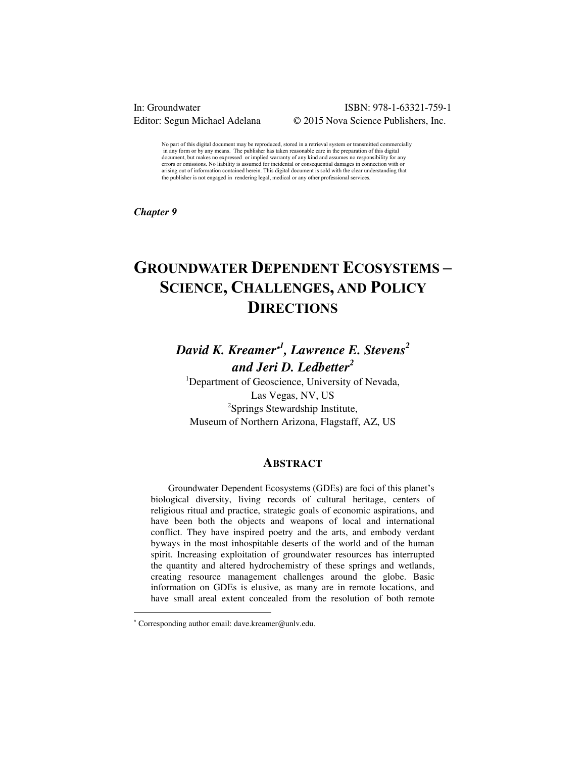#### In: Groundwater ISBN: 978-1-63321-759-1 Editor: Segun Michael Adelana  $\qquad \qquad \odot$  2015 Nova Science Publishers, Inc.

No part of this digital document may be reproduced, stored in a retrieval system or transmitted commercially in any form or by any means. The publisher has taken reasonable care in the preparation of this digital document, but makes no expressed or implied warranty of any kind and assumes no responsibility for any errors or omissions. No liability is assumed for incidental or consequential damages in connection with or arising out of information contained herein. This digital document is sold with the clear understanding that the publisher is not engaged in rendering legal, medical or any other professional services.

*Chapter 9* 

# **GROUNDWATER DEPENDENT ECOSYSTEMS – SCIENCE, CHALLENGES, AND POLICY DIRECTIONS**

## *David K. Kreamer<sup>1</sup> , Lawrence E. Stevens 2 and Jeri D. Ledbetter<sup>2</sup>*

<sup>1</sup>Department of Geoscience, University of Nevada, Las Vegas, NV, US <sup>2</sup>Springs Stewardship Institute, Museum of Northern Arizona, Flagstaff, AZ, US

#### **ABSTRACT**

Groundwater Dependent Ecosystems (GDEs) are foci of this planet"s biological diversity, living records of cultural heritage, centers of religious ritual and practice, strategic goals of economic aspirations, and have been both the objects and weapons of local and international conflict. They have inspired poetry and the arts, and embody verdant byways in the most inhospitable deserts of the world and of the human spirit. Increasing exploitation of groundwater resources has interrupted the quantity and altered hydrochemistry of these springs and wetlands, creating resource management challenges around the globe. Basic information on GDEs is elusive, as many are in remote locations, and have small areal extent concealed from the resolution of both remote

 $\ddot{ }$ 

 Corresponding author email: dave.kreamer@unlv.edu.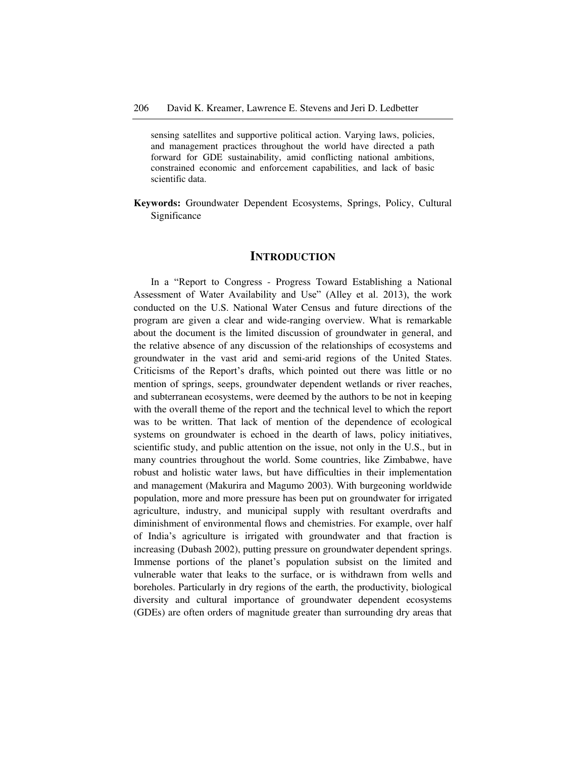sensing satellites and supportive political action. Varying laws, policies, and management practices throughout the world have directed a path forward for GDE sustainability, amid conflicting national ambitions, constrained economic and enforcement capabilities, and lack of basic scientific data.

**Keywords:** Groundwater Dependent Ecosystems, Springs, Policy, Cultural Significance

#### **INTRODUCTION**

In a "Report to Congress - Progress Toward Establishing a National Assessment of Water Availability and Use" (Alley et al. 2013), the work conducted on the U.S. National Water Census and future directions of the program are given a clear and wide-ranging overview. What is remarkable about the document is the limited discussion of groundwater in general, and the relative absence of any discussion of the relationships of ecosystems and groundwater in the vast arid and semi-arid regions of the United States. Criticisms of the Report's drafts, which pointed out there was little or no mention of springs, seeps, groundwater dependent wetlands or river reaches, and subterranean ecosystems, were deemed by the authors to be not in keeping with the overall theme of the report and the technical level to which the report was to be written. That lack of mention of the dependence of ecological systems on groundwater is echoed in the dearth of laws, policy initiatives, scientific study, and public attention on the issue, not only in the U.S., but in many countries throughout the world. Some countries, like Zimbabwe, have robust and holistic water laws, but have difficulties in their implementation and management (Makurira and Magumo 2003). With burgeoning worldwide population, more and more pressure has been put on groundwater for irrigated agriculture, industry, and municipal supply with resultant overdrafts and diminishment of environmental flows and chemistries. For example, over half of India"s agriculture is irrigated with groundwater and that fraction is increasing (Dubash 2002), putting pressure on groundwater dependent springs. Immense portions of the planet's population subsist on the limited and vulnerable water that leaks to the surface, or is withdrawn from wells and boreholes. Particularly in dry regions of the earth, the productivity, biological diversity and cultural importance of groundwater dependent ecosystems (GDEs) are often orders of magnitude greater than surrounding dry areas that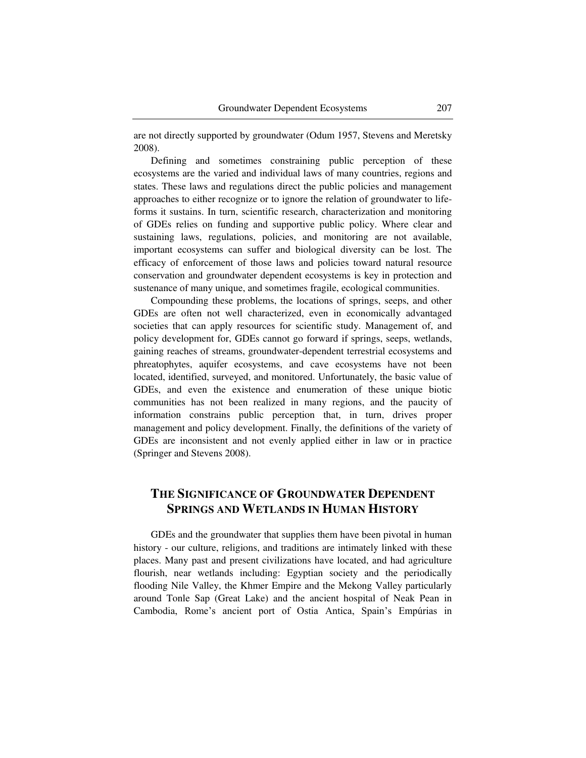are not directly supported by groundwater (Odum 1957, Stevens and Meretsky 2008).

Defining and sometimes constraining public perception of these ecosystems are the varied and individual laws of many countries, regions and states. These laws and regulations direct the public policies and management approaches to either recognize or to ignore the relation of groundwater to lifeforms it sustains. In turn, scientific research, characterization and monitoring of GDEs relies on funding and supportive public policy. Where clear and sustaining laws, regulations, policies, and monitoring are not available, important ecosystems can suffer and biological diversity can be lost. The efficacy of enforcement of those laws and policies toward natural resource conservation and groundwater dependent ecosystems is key in protection and sustenance of many unique, and sometimes fragile, ecological communities.

Compounding these problems, the locations of springs, seeps, and other GDEs are often not well characterized, even in economically advantaged societies that can apply resources for scientific study. Management of, and policy development for, GDEs cannot go forward if springs, seeps, wetlands, gaining reaches of streams, groundwater-dependent terrestrial ecosystems and phreatophytes, aquifer ecosystems, and cave ecosystems have not been located, identified, surveyed, and monitored. Unfortunately, the basic value of GDEs, and even the existence and enumeration of these unique biotic communities has not been realized in many regions, and the paucity of information constrains public perception that, in turn, drives proper management and policy development. Finally, the definitions of the variety of GDEs are inconsistent and not evenly applied either in law or in practice (Springer and Stevens 2008).

### **THE SIGNIFICANCE OF GROUNDWATER DEPENDENT SPRINGS AND WETLANDS IN HUMAN HISTORY**

GDEs and the groundwater that supplies them have been pivotal in human history - our culture, religions, and traditions are intimately linked with these places. Many past and present civilizations have located, and had agriculture flourish, near wetlands including: Egyptian society and the periodically flooding Nile Valley, the Khmer Empire and the Mekong Valley particularly around Tonle Sap (Great Lake) and the ancient hospital of Neak Pean in Cambodia, Rome"s ancient port of Ostia Antica, Spain"s Empúrias in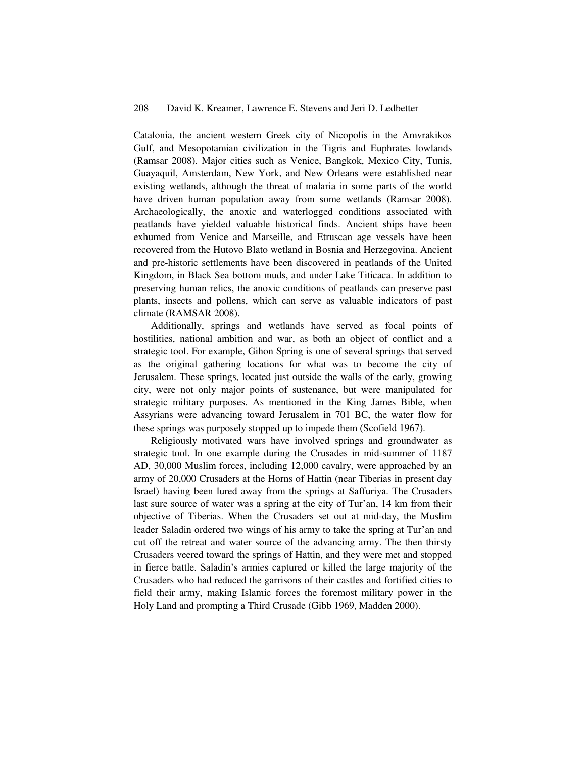Catalonia, the ancient western Greek city of Nicopolis in the Amvrakikos Gulf, and Mesopotamian civilization in the Tigris and Euphrates lowlands (Ramsar 2008). Major cities such as Venice, Bangkok, Mexico City, Tunis, Guayaquil, Amsterdam, New York, and New Orleans were established near existing wetlands, although the threat of malaria in some parts of the world have driven human population away from some wetlands (Ramsar 2008). Archaeologically, the anoxic and waterlogged conditions associated with peatlands have yielded valuable historical finds. Ancient ships have been exhumed from Venice and Marseille, and Etruscan age vessels have been recovered from the Hutovo Blato wetland in Bosnia and Herzegovina. Ancient and pre-historic settlements have been discovered in peatlands of the United Kingdom, in Black Sea bottom muds, and under Lake Titicaca. In addition to preserving human relics, the anoxic conditions of peatlands can preserve past plants, insects and pollens, which can serve as valuable indicators of past climate (RAMSAR 2008).

Additionally, springs and wetlands have served as focal points of hostilities, national ambition and war, as both an object of conflict and a strategic tool. For example, Gihon Spring is one of several springs that served as the original gathering locations for what was to become the city of Jerusalem. These springs, located just outside the walls of the early, growing city, were not only major points of sustenance, but were manipulated for strategic military purposes. As mentioned in the King James Bible, when Assyrians were advancing toward Jerusalem in 701 BC, the water flow for these springs was purposely stopped up to impede them (Scofield 1967).

Religiously motivated wars have involved springs and groundwater as strategic tool. In one example during the Crusades in mid-summer of 1187 AD, 30,000 Muslim forces, including 12,000 cavalry, were approached by an army of 20,000 Crusaders at the Horns of Hattin (near Tiberias in present day Israel) having been lured away from the springs at Saffuriya. The Crusaders last sure source of water was a spring at the city of Tur'an, 14 km from their objective of Tiberias. When the Crusaders set out at mid-day, the Muslim leader Saladin ordered two wings of his army to take the spring at Tur'an and cut off the retreat and water source of the advancing army. The then thirsty Crusaders veered toward the springs of Hattin, and they were met and stopped in fierce battle. Saladin"s armies captured or killed the large majority of the Crusaders who had reduced the garrisons of their castles and fortified cities to field their army, making Islamic forces the foremost military power in the Holy Land and prompting a Third Crusade (Gibb 1969, Madden 2000).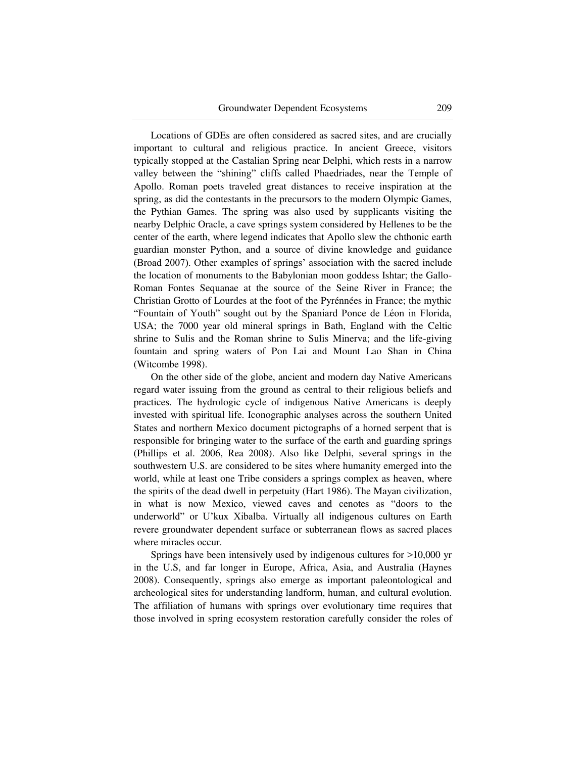Locations of GDEs are often considered as sacred sites, and are crucially important to cultural and religious practice. In ancient Greece, visitors typically stopped at the Castalian Spring near Delphi, which rests in a narrow valley between the "shining" cliffs called Phaedriades, near the Temple of Apollo. Roman poets traveled great distances to receive inspiration at the spring, as did the contestants in the precursors to the modern Olympic Games, the Pythian Games. The spring was also used by supplicants visiting the nearby Delphic Oracle, a cave springs system considered by Hellenes to be the center of the earth, where legend indicates that Apollo slew the chthonic earth guardian monster Python, and a source of divine knowledge and guidance (Broad 2007). Other examples of springs" association with the sacred include the location of monuments to the Babylonian moon goddess Ishtar; the Gallo-Roman Fontes Sequanae at the source of the Seine River in France; the Christian Grotto of Lourdes at the foot of the Pyrénnées in France; the mythic "Fountain of Youth" sought out by the Spaniard Ponce de Léon in Florida, USA; the 7000 year old mineral springs in Bath, England with the Celtic shrine to Sulis and the Roman shrine to Sulis Minerva; and the life-giving fountain and spring waters of Pon Lai and Mount Lao Shan in China (Witcombe 1998).

On the other side of the globe, ancient and modern day Native Americans regard water issuing from the ground as central to their religious beliefs and practices. The hydrologic cycle of indigenous Native Americans is deeply invested with spiritual life. Iconographic analyses across the southern United States and northern Mexico document pictographs of a horned serpent that is responsible for bringing water to the surface of the earth and guarding springs (Phillips et al. 2006, Rea 2008). Also like Delphi, several springs in the southwestern U.S. are considered to be sites where humanity emerged into the world, while at least one Tribe considers a springs complex as heaven, where the spirits of the dead dwell in perpetuity (Hart 1986). The Mayan civilization, in what is now Mexico, viewed caves and cenotes as "doors to the underworld" or U"kux Xibalba. Virtually all indigenous cultures on Earth revere groundwater dependent surface or subterranean flows as sacred places where miracles occur.

Springs have been intensively used by indigenous cultures for >10,000 yr in the U.S, and far longer in Europe, Africa, Asia, and Australia (Haynes 2008). Consequently, springs also emerge as important paleontological and archeological sites for understanding landform, human, and cultural evolution. The affiliation of humans with springs over evolutionary time requires that those involved in spring ecosystem restoration carefully consider the roles of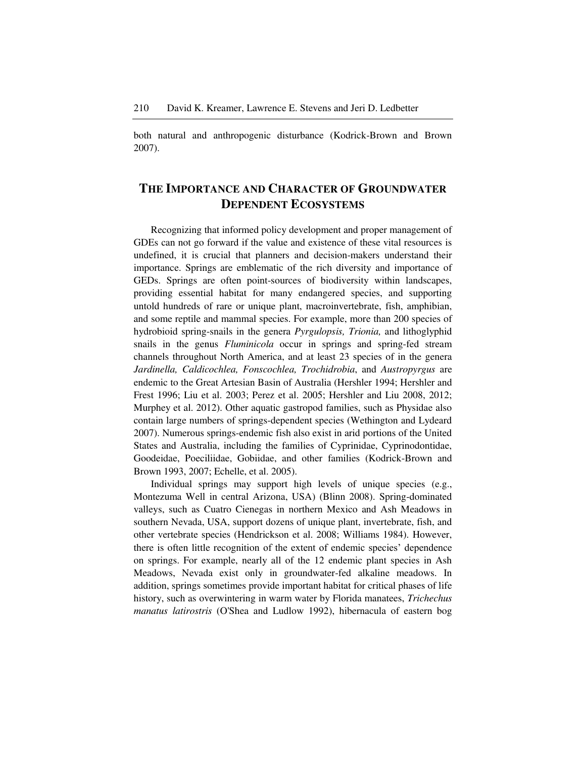both natural and anthropogenic disturbance (Kodrick-Brown and Brown 2007).

### **THE IMPORTANCE AND CHARACTER OF GROUNDWATER DEPENDENT ECOSYSTEMS**

Recognizing that informed policy development and proper management of GDEs can not go forward if the value and existence of these vital resources is undefined, it is crucial that planners and decision-makers understand their importance. Springs are emblematic of the rich diversity and importance of GEDs. Springs are often point-sources of biodiversity within landscapes, providing essential habitat for many endangered species, and supporting untold hundreds of rare or unique plant, macroinvertebrate, fish, amphibian, and some reptile and mammal species. For example, more than 200 species of hydrobioid spring-snails in the genera *Pyrgulopsis, Trionia,* and lithoglyphid snails in the genus *Fluminicola* occur in springs and spring-fed stream channels throughout North America, and at least 23 species of in the genera *Jardinella, Caldicochlea, Fonscochlea, Trochidrobia*, and *Austropyrgus* are endemic to the Great Artesian Basin of Australia (Hershler 1994; Hershler and Frest 1996; Liu et al. 2003; Perez et al. 2005; Hershler and Liu 2008, 2012; Murphey et al. 2012). Other aquatic gastropod families, such as Physidae also contain large numbers of springs-dependent species (Wethington and Lydeard 2007). Numerous springs-endemic fish also exist in arid portions of the United States and Australia, including the families of Cyprinidae, Cyprinodontidae, Goodeidae, Poeciliidae, Gobiidae, and other families (Kodrick-Brown and Brown 1993, 2007; Echelle, et al. 2005).

Individual springs may support high levels of unique species (e.g., Montezuma Well in central Arizona, USA) (Blinn 2008). Spring-dominated valleys, such as Cuatro Cienegas in northern Mexico and Ash Meadows in southern Nevada, USA, support dozens of unique plant, invertebrate, fish, and other vertebrate species (Hendrickson et al. 2008; Williams 1984). However, there is often little recognition of the extent of endemic species" dependence on springs. For example, nearly all of the 12 endemic plant species in Ash Meadows, Nevada exist only in groundwater-fed alkaline meadows. In addition, springs sometimes provide important habitat for critical phases of life history, such as overwintering in warm water by Florida manatees, *Trichechus manatus latirostris* (O'Shea and Ludlow 1992), hibernacula of eastern bog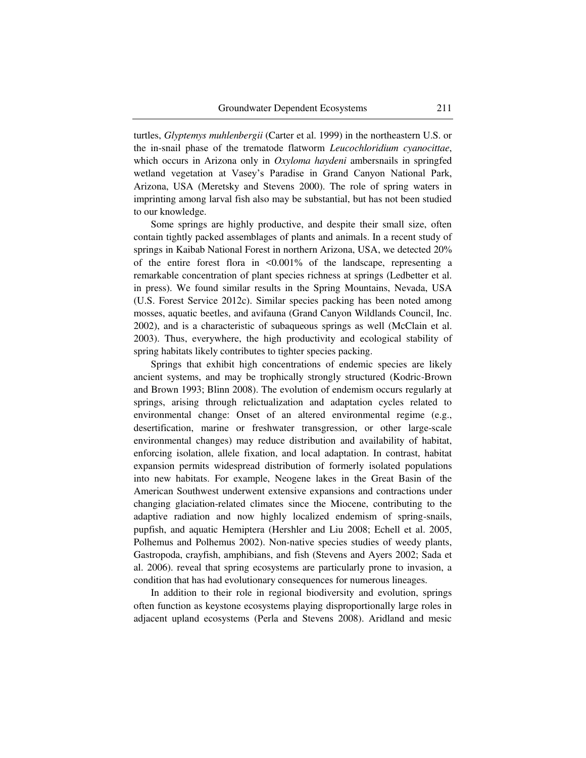turtles, *Glyptemys muhlenbergii* (Carter et al. 1999) in the northeastern U.S. or the in-snail phase of the trematode flatworm *Leucochloridium cyanocittae*, which occurs in Arizona only in *Oxyloma haydeni* ambersnails in springfed wetland vegetation at Vasey"s Paradise in Grand Canyon National Park, Arizona, USA (Meretsky and Stevens 2000). The role of spring waters in imprinting among larval fish also may be substantial, but has not been studied to our knowledge.

Some springs are highly productive, and despite their small size, often contain tightly packed assemblages of plants and animals. In a recent study of springs in Kaibab National Forest in northern Arizona, USA, we detected 20% of the entire forest flora in <0.001% of the landscape, representing a remarkable concentration of plant species richness at springs (Ledbetter et al. in press). We found similar results in the Spring Mountains, Nevada, USA (U.S. Forest Service 2012c). Similar species packing has been noted among mosses, aquatic beetles, and avifauna (Grand Canyon Wildlands Council, Inc. 2002), and is a characteristic of subaqueous springs as well (McClain et al. 2003). Thus, everywhere, the high productivity and ecological stability of spring habitats likely contributes to tighter species packing.

Springs that exhibit high concentrations of endemic species are likely ancient systems, and may be trophically strongly structured (Kodric-Brown and Brown 1993; Blinn 2008). The evolution of endemism occurs regularly at springs, arising through relictualization and adaptation cycles related to environmental change: Onset of an altered environmental regime (e.g., desertification, marine or freshwater transgression, or other large-scale environmental changes) may reduce distribution and availability of habitat, enforcing isolation, allele fixation, and local adaptation. In contrast, habitat expansion permits widespread distribution of formerly isolated populations into new habitats. For example, Neogene lakes in the Great Basin of the American Southwest underwent extensive expansions and contractions under changing glaciation-related climates since the Miocene, contributing to the adaptive radiation and now highly localized endemism of spring-snails, pupfish, and aquatic Hemiptera (Hershler and Liu 2008; Echell et al. 2005, Polhemus and Polhemus 2002). Non-native species studies of weedy plants, Gastropoda, crayfish, amphibians, and fish (Stevens and Ayers 2002; Sada et al. 2006). reveal that spring ecosystems are particularly prone to invasion, a condition that has had evolutionary consequences for numerous lineages.

In addition to their role in regional biodiversity and evolution, springs often function as keystone ecosystems playing disproportionally large roles in adjacent upland ecosystems (Perla and Stevens 2008). Aridland and mesic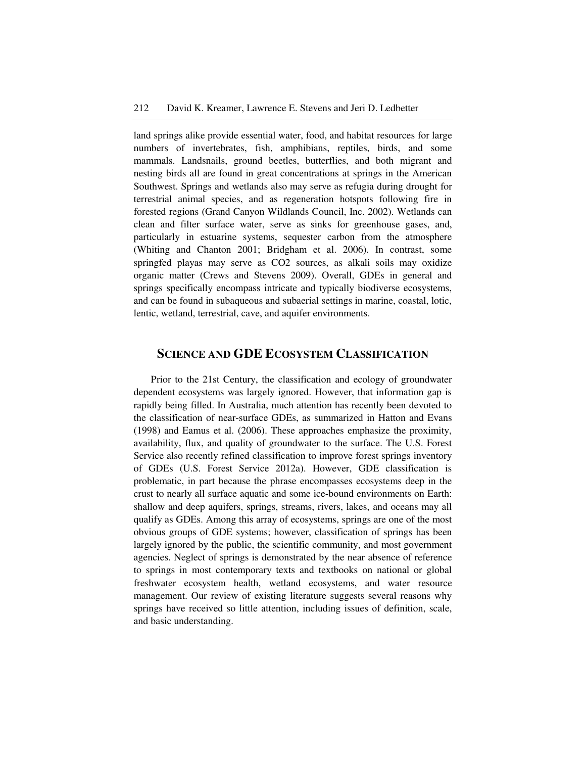land springs alike provide essential water, food, and habitat resources for large numbers of invertebrates, fish, amphibians, reptiles, birds, and some mammals. Landsnails, ground beetles, butterflies, and both migrant and nesting birds all are found in great concentrations at springs in the American Southwest. Springs and wetlands also may serve as refugia during drought for terrestrial animal species, and as regeneration hotspots following fire in forested regions (Grand Canyon Wildlands Council, Inc. 2002). Wetlands can clean and filter surface water, serve as sinks for greenhouse gases, and, particularly in estuarine systems, sequester carbon from the atmosphere (Whiting and Chanton 2001; Bridgham et al. 2006). In contrast, some springfed playas may serve as CO2 sources, as alkali soils may oxidize organic matter (Crews and Stevens 2009). Overall, GDEs in general and springs specifically encompass intricate and typically biodiverse ecosystems, and can be found in subaqueous and subaerial settings in marine, coastal, lotic, lentic, wetland, terrestrial, cave, and aquifer environments.

### **SCIENCE AND GDE ECOSYSTEM CLASSIFICATION**

Prior to the 21st Century, the classification and ecology of groundwater dependent ecosystems was largely ignored. However, that information gap is rapidly being filled. In Australia, much attention has recently been devoted to the classification of near-surface GDEs, as summarized in Hatton and Evans (1998) and Eamus et al. (2006). These approaches emphasize the proximity, availability, flux, and quality of groundwater to the surface. The U.S. Forest Service also recently refined classification to improve forest springs inventory of GDEs (U.S. Forest Service 2012a). However, GDE classification is problematic, in part because the phrase encompasses ecosystems deep in the crust to nearly all surface aquatic and some ice-bound environments on Earth: shallow and deep aquifers, springs, streams, rivers, lakes, and oceans may all qualify as GDEs. Among this array of ecosystems, springs are one of the most obvious groups of GDE systems; however, classification of springs has been largely ignored by the public, the scientific community, and most government agencies. Neglect of springs is demonstrated by the near absence of reference to springs in most contemporary texts and textbooks on national or global freshwater ecosystem health, wetland ecosystems, and water resource management. Our review of existing literature suggests several reasons why springs have received so little attention, including issues of definition, scale, and basic understanding.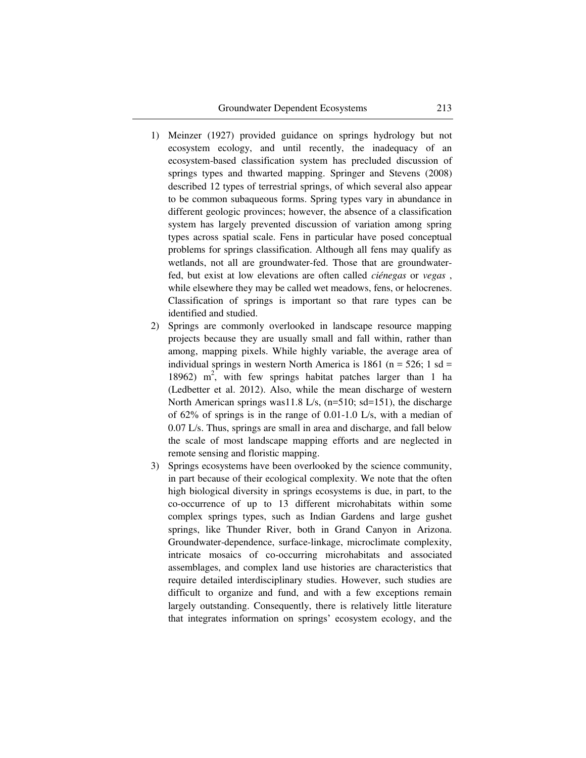- 1) Meinzer (1927) provided guidance on springs hydrology but not ecosystem ecology, and until recently, the inadequacy of an ecosystem-based classification system has precluded discussion of springs types and thwarted mapping. Springer and Stevens (2008) described 12 types of terrestrial springs, of which several also appear to be common subaqueous forms. Spring types vary in abundance in different geologic provinces; however, the absence of a classification system has largely prevented discussion of variation among spring types across spatial scale. Fens in particular have posed conceptual problems for springs classification. Although all fens may qualify as wetlands, not all are groundwater-fed. Those that are groundwaterfed, but exist at low elevations are often called *ciénegas* or *vegas* , while elsewhere they may be called wet meadows, fens, or helocrenes. Classification of springs is important so that rare types can be identified and studied.
- 2) Springs are commonly overlooked in landscape resource mapping projects because they are usually small and fall within, rather than among, mapping pixels. While highly variable, the average area of individual springs in western North America is 1861 ( $n = 526$ ; 1 sd = 18962) m<sup>2</sup>, with few springs habitat patches larger than 1 ha (Ledbetter et al. 2012). Also, while the mean discharge of western North American springs was11.8 L/s, (n=510; sd=151), the discharge of 62% of springs is in the range of 0.01-1.0 L/s, with a median of 0.07 L/s. Thus, springs are small in area and discharge, and fall below the scale of most landscape mapping efforts and are neglected in remote sensing and floristic mapping.
- 3) Springs ecosystems have been overlooked by the science community, in part because of their ecological complexity. We note that the often high biological diversity in springs ecosystems is due, in part, to the co-occurrence of up to 13 different microhabitats within some complex springs types, such as Indian Gardens and large gushet springs, like Thunder River, both in Grand Canyon in Arizona. Groundwater-dependence, surface-linkage, microclimate complexity, intricate mosaics of co-occurring microhabitats and associated assemblages, and complex land use histories are characteristics that require detailed interdisciplinary studies. However, such studies are difficult to organize and fund, and with a few exceptions remain largely outstanding. Consequently, there is relatively little literature that integrates information on springs" ecosystem ecology, and the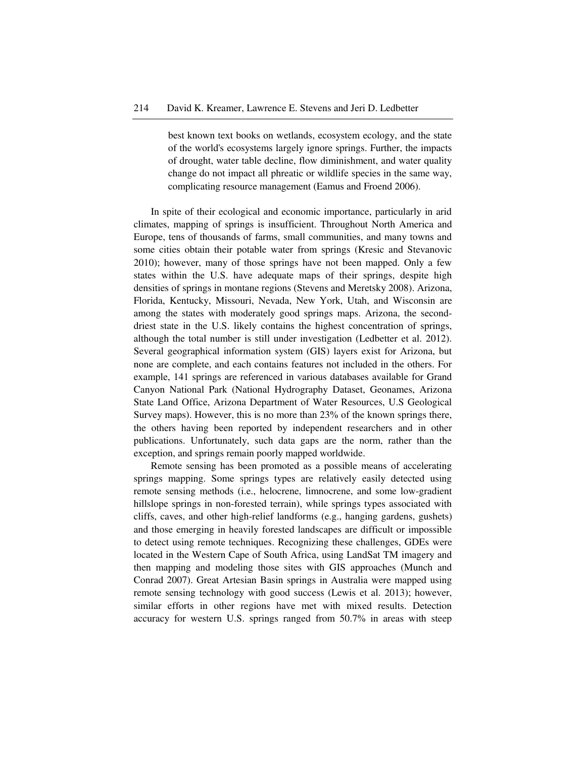best known text books on wetlands, ecosystem ecology, and the state of the world's ecosystems largely ignore springs. Further, the impacts of drought, water table decline, flow diminishment, and water quality change do not impact all phreatic or wildlife species in the same way, complicating resource management (Eamus and Froend 2006).

In spite of their ecological and economic importance, particularly in arid climates, mapping of springs is insufficient. Throughout North America and Europe, tens of thousands of farms, small communities, and many towns and some cities obtain their potable water from springs (Kresic and Stevanovic 2010); however, many of those springs have not been mapped. Only a few states within the U.S. have adequate maps of their springs, despite high densities of springs in montane regions (Stevens and Meretsky 2008). Arizona, Florida, Kentucky, Missouri, Nevada, New York, Utah, and Wisconsin are among the states with moderately good springs maps. Arizona, the seconddriest state in the U.S. likely contains the highest concentration of springs, although the total number is still under investigation (Ledbetter et al. 2012). Several geographical information system (GIS) layers exist for Arizona, but none are complete, and each contains features not included in the others. For example, 141 springs are referenced in various databases available for Grand Canyon National Park (National Hydrography Dataset, Geonames, Arizona State Land Office, Arizona Department of Water Resources, U.S Geological Survey maps). However, this is no more than 23% of the known springs there, the others having been reported by independent researchers and in other publications. Unfortunately, such data gaps are the norm, rather than the exception, and springs remain poorly mapped worldwide.

Remote sensing has been promoted as a possible means of accelerating springs mapping. Some springs types are relatively easily detected using remote sensing methods (i.e., helocrene, limnocrene, and some low-gradient hillslope springs in non-forested terrain), while springs types associated with cliffs, caves, and other high-relief landforms (e.g., hanging gardens, gushets) and those emerging in heavily forested landscapes are difficult or impossible to detect using remote techniques. Recognizing these challenges, GDEs were located in the Western Cape of South Africa, using LandSat TM imagery and then mapping and modeling those sites with GIS approaches (Munch and Conrad 2007). Great Artesian Basin springs in Australia were mapped using remote sensing technology with good success (Lewis et al. 2013); however, similar efforts in other regions have met with mixed results. Detection accuracy for western U.S. springs ranged from 50.7% in areas with steep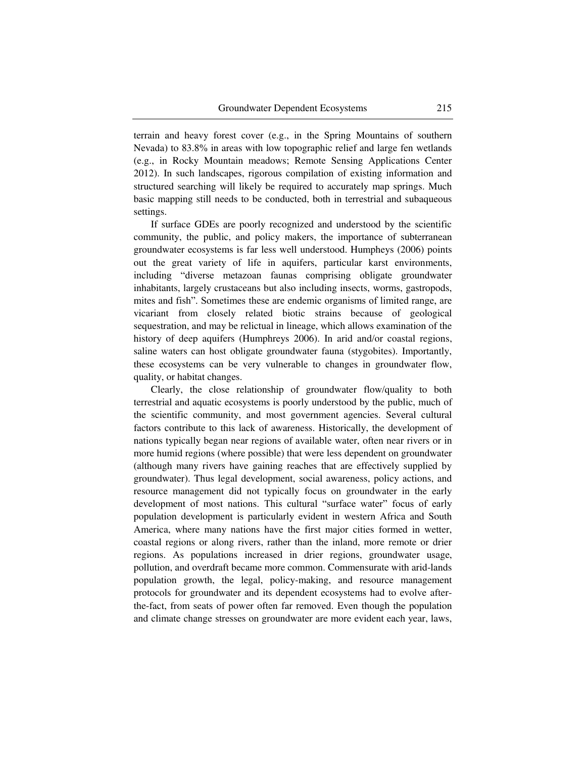terrain and heavy forest cover (e.g., in the Spring Mountains of southern Nevada) to 83.8% in areas with low topographic relief and large fen wetlands (e.g., in Rocky Mountain meadows; Remote Sensing Applications Center 2012). In such landscapes, rigorous compilation of existing information and structured searching will likely be required to accurately map springs. Much basic mapping still needs to be conducted, both in terrestrial and subaqueous settings.

If surface GDEs are poorly recognized and understood by the scientific community, the public, and policy makers, the importance of subterranean groundwater ecosystems is far less well understood. Humpheys (2006) points out the great variety of life in aquifers, particular karst environments, including "diverse metazoan faunas comprising obligate groundwater inhabitants, largely crustaceans but also including insects, worms, gastropods, mites and fish". Sometimes these are endemic organisms of limited range, are vicariant from closely related biotic strains because of geological sequestration, and may be relictual in lineage, which allows examination of the history of deep aquifers (Humphreys 2006). In arid and/or coastal regions, saline waters can host obligate groundwater fauna (stygobites). Importantly, these ecosystems can be very vulnerable to changes in groundwater flow, quality, or habitat changes.

Clearly, the close relationship of groundwater flow/quality to both terrestrial and aquatic ecosystems is poorly understood by the public, much of the scientific community, and most government agencies. Several cultural factors contribute to this lack of awareness. Historically, the development of nations typically began near regions of available water, often near rivers or in more humid regions (where possible) that were less dependent on groundwater (although many rivers have gaining reaches that are effectively supplied by groundwater). Thus legal development, social awareness, policy actions, and resource management did not typically focus on groundwater in the early development of most nations. This cultural "surface water" focus of early population development is particularly evident in western Africa and South America, where many nations have the first major cities formed in wetter, coastal regions or along rivers, rather than the inland, more remote or drier regions. As populations increased in drier regions, groundwater usage, pollution, and overdraft became more common. Commensurate with arid-lands population growth, the legal, policy-making, and resource management protocols for groundwater and its dependent ecosystems had to evolve afterthe-fact, from seats of power often far removed. Even though the population and climate change stresses on groundwater are more evident each year, laws,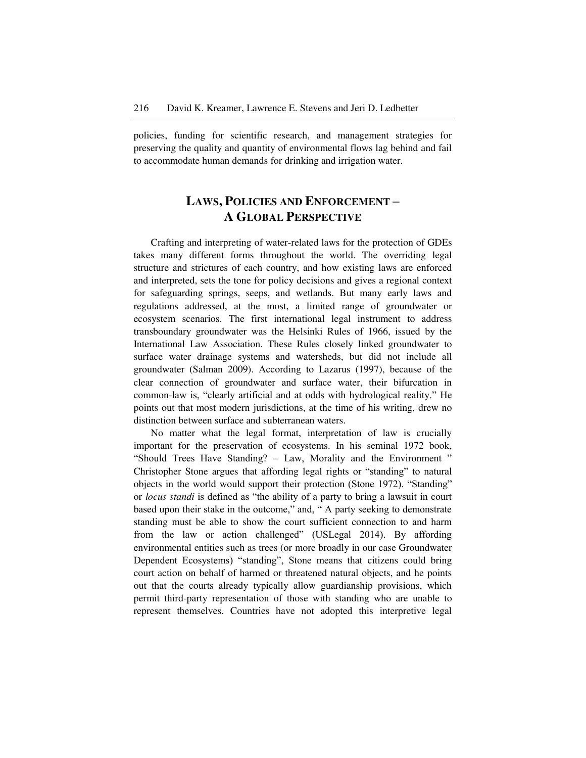policies, funding for scientific research, and management strategies for preserving the quality and quantity of environmental flows lag behind and fail to accommodate human demands for drinking and irrigation water.

### **LAWS, POLICIES AND ENFORCEMENT – A GLOBAL PERSPECTIVE**

Crafting and interpreting of water-related laws for the protection of GDEs takes many different forms throughout the world. The overriding legal structure and strictures of each country, and how existing laws are enforced and interpreted, sets the tone for policy decisions and gives a regional context for safeguarding springs, seeps, and wetlands. But many early laws and regulations addressed, at the most, a limited range of groundwater or ecosystem scenarios. The first international legal instrument to address transboundary groundwater was the Helsinki Rules of 1966, issued by the International Law Association. These Rules closely linked groundwater to surface water drainage systems and watersheds, but did not include all groundwater (Salman 2009). According to Lazarus (1997), because of the clear connection of groundwater and surface water, their bifurcation in common-law is, "clearly artificial and at odds with hydrological reality." He points out that most modern jurisdictions, at the time of his writing, drew no distinction between surface and subterranean waters.

No matter what the legal format, interpretation of law is crucially important for the preservation of ecosystems. In his seminal 1972 book, "Should Trees Have Standing? – Law, Morality and the Environment " Christopher Stone argues that affording legal rights or "standing" to natural objects in the world would support their protection (Stone 1972). "Standing" or *locus standi* is defined as "the ability of a party to bring a lawsuit in court based upon their stake in the outcome," and, " A party seeking to demonstrate standing must be able to show the court sufficient connection to and harm from the law or action challenged" (USLegal 2014). By affording environmental entities such as trees (or more broadly in our case Groundwater Dependent Ecosystems) "standing", Stone means that citizens could bring court action on behalf of harmed or threatened natural objects, and he points out that the courts already typically allow guardianship provisions, which permit third-party representation of those with standing who are unable to represent themselves. Countries have not adopted this interpretive legal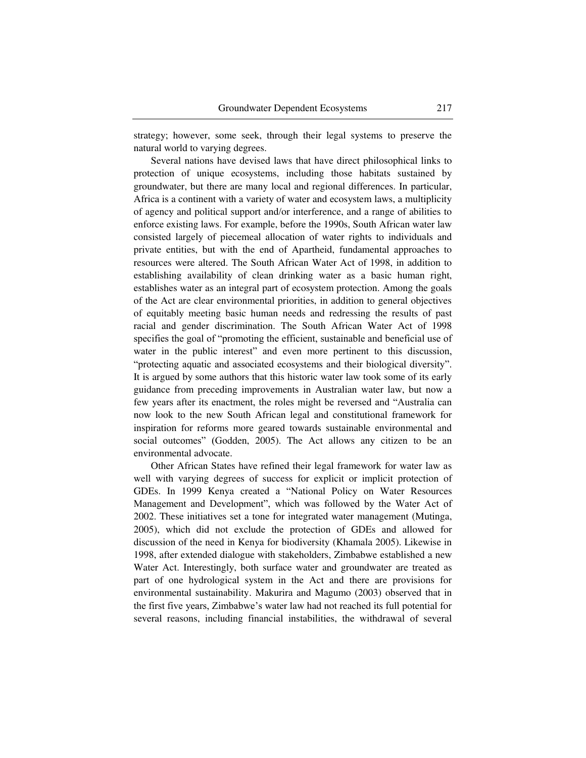strategy; however, some seek, through their legal systems to preserve the natural world to varying degrees.

Several nations have devised laws that have direct philosophical links to protection of unique ecosystems, including those habitats sustained by groundwater, but there are many local and regional differences. In particular, Africa is a continent with a variety of water and ecosystem laws, a multiplicity of agency and political support and/or interference, and a range of abilities to enforce existing laws. For example, before the 1990s, South African water law consisted largely of piecemeal allocation of water rights to individuals and private entities, but with the end of Apartheid, fundamental approaches to resources were altered. The South African Water Act of 1998, in addition to establishing availability of clean drinking water as a basic human right, establishes water as an integral part of ecosystem protection. Among the goals of the Act are clear environmental priorities, in addition to general objectives of equitably meeting basic human needs and redressing the results of past racial and gender discrimination. The South African Water Act of 1998 specifies the goal of "promoting the efficient, sustainable and beneficial use of water in the public interest" and even more pertinent to this discussion, "protecting aquatic and associated ecosystems and their biological diversity". It is argued by some authors that this historic water law took some of its early guidance from preceding improvements in Australian water law, but now a few years after its enactment, the roles might be reversed and "Australia can now look to the new South African legal and constitutional framework for inspiration for reforms more geared towards sustainable environmental and social outcomes" (Godden, 2005). The Act allows any citizen to be an environmental advocate.

Other African States have refined their legal framework for water law as well with varying degrees of success for explicit or implicit protection of GDEs. In 1999 Kenya created a "National Policy on Water Resources Management and Development", which was followed by the Water Act of 2002. These initiatives set a tone for integrated water management (Mutinga, 2005), which did not exclude the protection of GDEs and allowed for discussion of the need in Kenya for biodiversity (Khamala 2005). Likewise in 1998, after extended dialogue with stakeholders, Zimbabwe established a new Water Act. Interestingly, both surface water and groundwater are treated as part of one hydrological system in the Act and there are provisions for environmental sustainability. Makurira and Magumo (2003) observed that in the first five years, Zimbabwe"s water law had not reached its full potential for several reasons, including financial instabilities, the withdrawal of several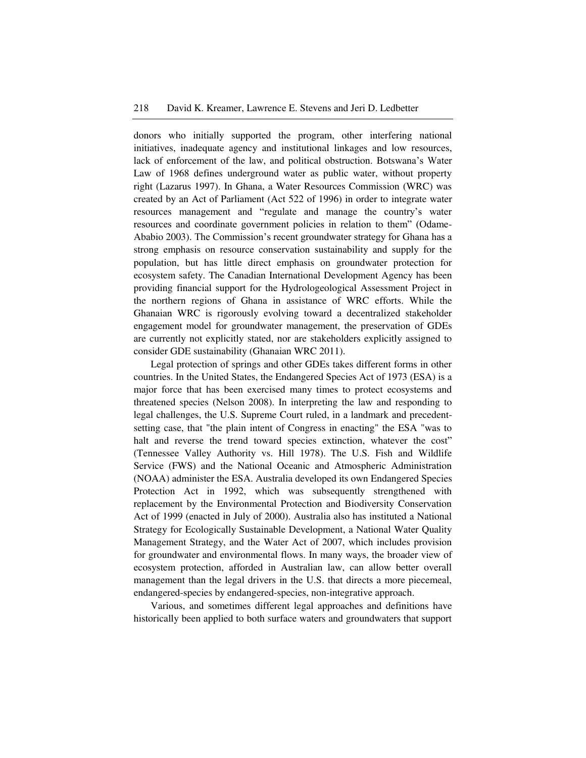donors who initially supported the program, other interfering national initiatives, inadequate agency and institutional linkages and low resources, lack of enforcement of the law, and political obstruction. Botswana"s Water Law of 1968 defines underground water as public water, without property right (Lazarus 1997). In Ghana, a Water Resources Commission (WRC) was created by an Act of Parliament (Act 522 of 1996) in order to integrate water resources management and "regulate and manage the country"s water resources and coordinate government policies in relation to them" (Odame-Ababio 2003). The Commission's recent groundwater strategy for Ghana has a strong emphasis on resource conservation sustainability and supply for the population, but has little direct emphasis on groundwater protection for ecosystem safety. The Canadian International Development Agency has been providing financial support for the Hydrologeological Assessment Project in the northern regions of Ghana in assistance of WRC efforts. While the Ghanaian WRC is rigorously evolving toward a decentralized stakeholder engagement model for groundwater management, the preservation of GDEs are currently not explicitly stated, nor are stakeholders explicitly assigned to consider GDE sustainability (Ghanaian WRC 2011).

Legal protection of springs and other GDEs takes different forms in other countries. In the United States, the Endangered Species Act of 1973 (ESA) is a major force that has been exercised many times to protect ecosystems and threatened species (Nelson 2008). In interpreting the law and responding to legal challenges, the U.S. Supreme Court ruled, in a landmark and precedentsetting case, that "the plain intent of Congress in enacting" the ESA "was to halt and reverse the trend toward species extinction, whatever the cost" (Tennessee Valley Authority vs. Hill 1978). The U.S. Fish and Wildlife Service (FWS) and the National Oceanic and Atmospheric Administration (NOAA) administer the ESA. Australia developed its own Endangered Species Protection Act in 1992, which was subsequently strengthened with replacement by the Environmental Protection and Biodiversity Conservation Act of 1999 (enacted in July of 2000). Australia also has instituted a National Strategy for Ecologically Sustainable Development, a National Water Quality Management Strategy, and the Water Act of 2007, which includes provision for groundwater and environmental flows. In many ways, the broader view of ecosystem protection, afforded in Australian law, can allow better overall management than the legal drivers in the U.S. that directs a more piecemeal, endangered-species by endangered-species, non-integrative approach.

Various, and sometimes different legal approaches and definitions have historically been applied to both surface waters and groundwaters that support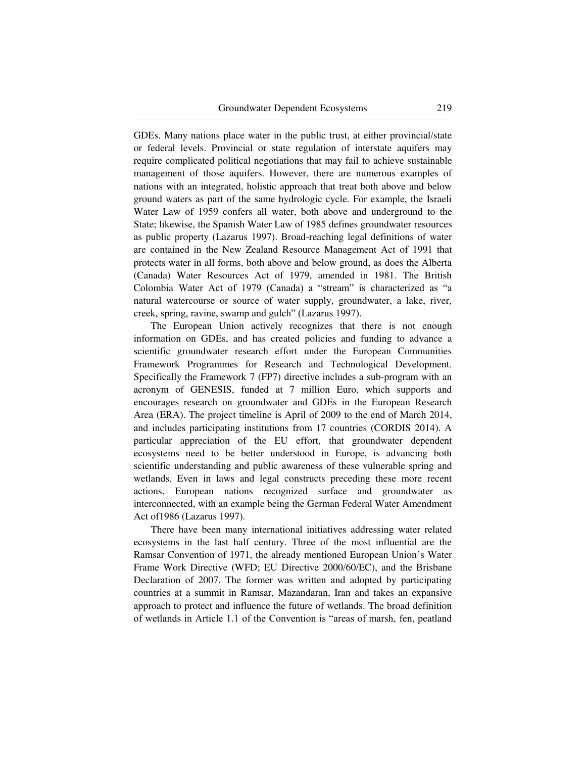GDEs. Many nations place water in the public trust, at either provincial/state or federal levels. Provincial or state regulation of interstate aquifers may require complicated political negotiations that may fail to achieve sustainable management of those aquifers. However, there are numerous examples of nations with an integrated, holistic approach that treat both above and below ground waters as part of the same hydrologic cycle. For example, the Israeli Water Law of 1959 confers all water, both above and underground to the State; likewise, the Spanish Water Law of 1985 defines groundwater resources as public property (Lazarus 1997). Broad-reaching legal definitions of water are contained in the New Zealand Resource Management Act of 1991 that protects water in all forms, both above and below ground, as does the Alberta (Canada) Water Resources Act of 1979, amended in 1981. The British Colombia Water Act of 1979 (Canada) a "stream" is characterized as "a natural watercourse or source of water supply, groundwater, a lake, river, creek, spring, ravine, swamp and gulch" (Lazarus 1997).

The European Union actively recognizes that there is not enough information on GDEs, and has created policies and funding to advance a scientific groundwater research effort under the European Communities Framework Programmes for Research and Technological Development. Specifically the Framework 7 (FP7) directive includes a sub-program with an acronym of GENESIS, funded at 7 million Euro, which supports and encourages research on groundwater and GDEs in the European Research Area (ERA). The project timeline is April of 2009 to the end of March 2014, and includes participating institutions from 17 countries (CORDIS 2014). A particular appreciation of the EU effort, that groundwater dependent ecosystems need to be better understood in Europe, is advancing both scientific understanding and public awareness of these vulnerable spring and wetlands. Even in laws and legal constructs preceding these more recent actions, European nations recognized surface and groundwater as interconnected, with an example being the German Federal Water Amendment Act of1986 (Lazarus 1997).

There have been many international initiatives addressing water related ecosystems in the last half century. Three of the most influential are the Ramsar Convention of 1971, the already mentioned European Union"s Water Frame Work Directive (WFD; EU Directive 2000/60/EC), and the Brisbane Declaration of 2007. The former was written and adopted by participating countries at a summit in Ramsar, Mazandaran, Iran and takes an expansive approach to protect and influence the future of wetlands. The broad definition of wetlands in Article 1.1 of the Convention is "areas of marsh, fen, peatland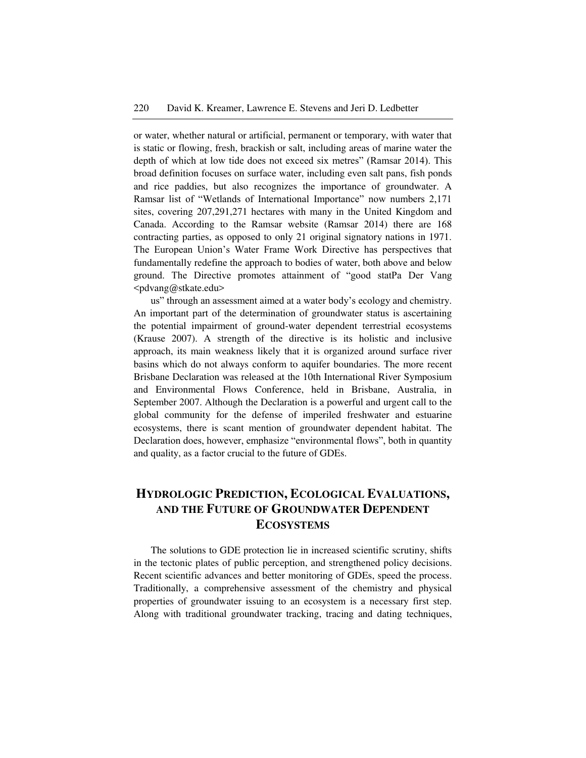or water, whether natural or artificial, permanent or temporary, with water that is static or flowing, fresh, brackish or salt, including areas of marine water the depth of which at low tide does not exceed six metres" (Ramsar 2014). This broad definition focuses on surface water, including even salt pans, fish ponds and rice paddies, but also recognizes the importance of groundwater. A Ramsar list of "Wetlands of International Importance" now numbers 2,171 sites, covering 207,291,271 hectares with many in the United Kingdom and Canada. According to the Ramsar website (Ramsar 2014) there are 168 contracting parties, as opposed to only 21 original signatory nations in 1971. The European Union"s Water Frame Work Directive has perspectives that fundamentally redefine the approach to bodies of water, both above and below ground. The Directive promotes attainment of "good statPa Der Vang <pdvang@stkate.edu>

us" through an assessment aimed at a water body"s ecology and chemistry. An important part of the determination of groundwater status is ascertaining the potential impairment of ground-water dependent terrestrial ecosystems (Krause 2007). A strength of the directive is its holistic and inclusive approach, its main weakness likely that it is organized around surface river basins which do not always conform to aquifer boundaries. The more recent Brisbane Declaration was released at the 10th International River Symposium and Environmental Flows Conference, held in Brisbane, Australia, in September 2007. Although the Declaration is a powerful and urgent call to the global community for the defense of imperiled freshwater and estuarine ecosystems, there is scant mention of groundwater dependent habitat. The Declaration does, however, emphasize "environmental flows", both in quantity and quality, as a factor crucial to the future of GDEs.

### **HYDROLOGIC PREDICTION, ECOLOGICAL EVALUATIONS, AND THE FUTURE OF GROUNDWATER DEPENDENT ECOSYSTEMS**

The solutions to GDE protection lie in increased scientific scrutiny, shifts in the tectonic plates of public perception, and strengthened policy decisions. Recent scientific advances and better monitoring of GDEs, speed the process. Traditionally, a comprehensive assessment of the chemistry and physical properties of groundwater issuing to an ecosystem is a necessary first step. Along with traditional groundwater tracking, tracing and dating techniques,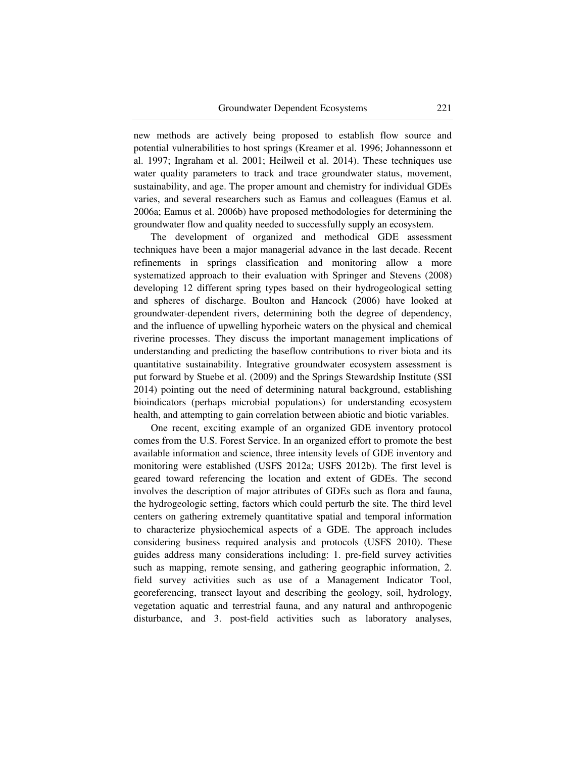new methods are actively being proposed to establish flow source and potential vulnerabilities to host springs (Kreamer et al. 1996; Johannessonn et al. 1997; Ingraham et al. 2001; Heilweil et al. 2014). These techniques use water quality parameters to track and trace groundwater status, movement, sustainability, and age. The proper amount and chemistry for individual GDEs varies, and several researchers such as Eamus and colleagues (Eamus et al. 2006a; Eamus et al. 2006b) have proposed methodologies for determining the groundwater flow and quality needed to successfully supply an ecosystem.

The development of organized and methodical GDE assessment techniques have been a major managerial advance in the last decade. Recent refinements in springs classification and monitoring allow a more systematized approach to their evaluation with Springer and Stevens (2008) developing 12 different spring types based on their hydrogeological setting and spheres of discharge. Boulton and Hancock (2006) have looked at groundwater-dependent rivers, determining both the degree of dependency, and the influence of upwelling hyporheic waters on the physical and chemical riverine processes. They discuss the important management implications of understanding and predicting the baseflow contributions to river biota and its quantitative sustainability. Integrative groundwater ecosystem assessment is put forward by Stuebe et al. (2009) and the Springs Stewardship Institute (SSI 2014) pointing out the need of determining natural background, establishing bioindicators (perhaps microbial populations) for understanding ecosystem health, and attempting to gain correlation between abiotic and biotic variables.

One recent, exciting example of an organized GDE inventory protocol comes from the U.S. Forest Service. In an organized effort to promote the best available information and science, three intensity levels of GDE inventory and monitoring were established (USFS 2012a; USFS 2012b). The first level is geared toward referencing the location and extent of GDEs. The second involves the description of major attributes of GDEs such as flora and fauna, the hydrogeologic setting, factors which could perturb the site. The third level centers on gathering extremely quantitative spatial and temporal information to characterize physiochemical aspects of a GDE. The approach includes considering business required analysis and protocols (USFS 2010). These guides address many considerations including: 1. pre-field survey activities such as mapping, remote sensing, and gathering geographic information, 2. field survey activities such as use of a Management Indicator Tool, georeferencing, transect layout and describing the geology, soil, hydrology, vegetation aquatic and terrestrial fauna, and any natural and anthropogenic disturbance, and 3. post-field activities such as laboratory analyses,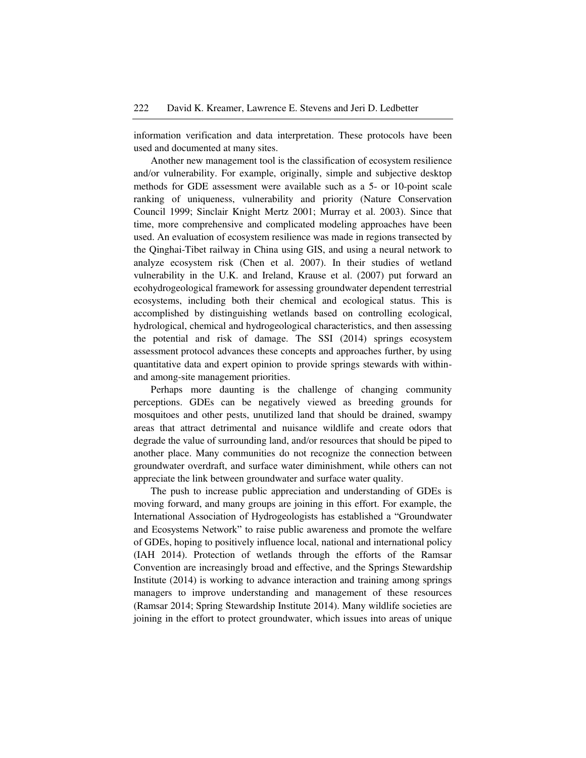information verification and data interpretation. These protocols have been used and documented at many sites.

Another new management tool is the classification of ecosystem resilience and/or vulnerability. For example, originally, simple and subjective desktop methods for GDE assessment were available such as a 5- or 10-point scale ranking of uniqueness, vulnerability and priority (Nature Conservation Council 1999; Sinclair Knight Mertz 2001; Murray et al. 2003). Since that time, more comprehensive and complicated modeling approaches have been used. An evaluation of ecosystem resilience was made in regions transected by the Qinghai-Tibet railway in China using GIS, and using a neural network to analyze ecosystem risk (Chen et al. 2007). In their studies of wetland vulnerability in the U.K. and Ireland, Krause et al. (2007) put forward an ecohydrogeological framework for assessing groundwater dependent terrestrial ecosystems, including both their chemical and ecological status. This is accomplished by distinguishing wetlands based on controlling ecological, hydrological, chemical and hydrogeological characteristics, and then assessing the potential and risk of damage. The SSI (2014) springs ecosystem assessment protocol advances these concepts and approaches further, by using quantitative data and expert opinion to provide springs stewards with withinand among-site management priorities.

Perhaps more daunting is the challenge of changing community perceptions. GDEs can be negatively viewed as breeding grounds for mosquitoes and other pests, unutilized land that should be drained, swampy areas that attract detrimental and nuisance wildlife and create odors that degrade the value of surrounding land, and/or resources that should be piped to another place. Many communities do not recognize the connection between groundwater overdraft, and surface water diminishment, while others can not appreciate the link between groundwater and surface water quality.

The push to increase public appreciation and understanding of GDEs is moving forward, and many groups are joining in this effort. For example, the International Association of Hydrogeologists has established a "Groundwater and Ecosystems Network" to raise public awareness and promote the welfare of GDEs, hoping to positively influence local, national and international policy (IAH 2014). Protection of wetlands through the efforts of the Ramsar Convention are increasingly broad and effective, and the Springs Stewardship Institute (2014) is working to advance interaction and training among springs managers to improve understanding and management of these resources (Ramsar 2014; Spring Stewardship Institute 2014). Many wildlife societies are joining in the effort to protect groundwater, which issues into areas of unique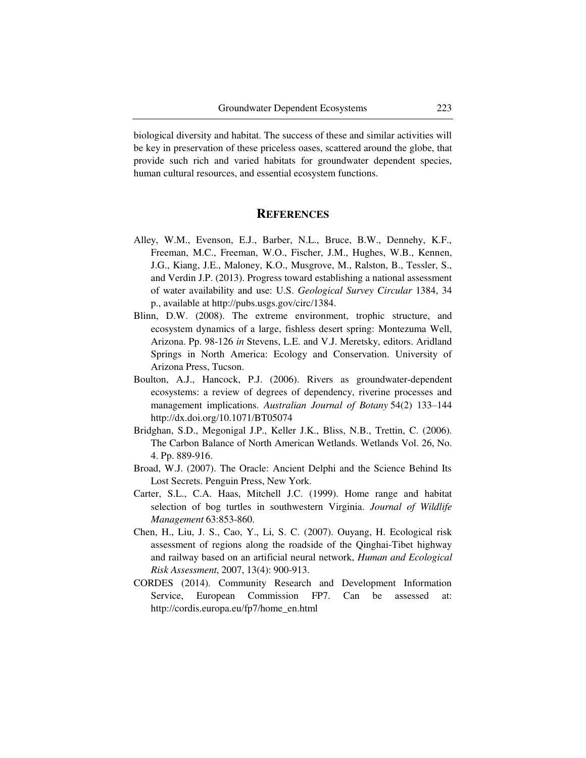biological diversity and habitat. The success of these and similar activities will be key in preservation of these priceless oases, scattered around the globe, that provide such rich and varied habitats for groundwater dependent species, human cultural resources, and essential ecosystem functions.

#### **REFERENCES**

- Alley, W.M., Evenson, E.J., Barber, N.L., Bruce, B.W., Dennehy, K.F., Freeman, M.C., Freeman, W.O., Fischer, J.M., Hughes, W.B., Kennen, J.G., Kiang, J.E., Maloney, K.O., Musgrove, M., Ralston, B., Tessler, S., and Verdin J.P. (2013). Progress toward establishing a national assessment of water availability and use: U.S. *Geological Survey Circular* 1384, 34 p., available at http://pubs.usgs.gov/circ/1384.
- Blinn, D.W. (2008). The extreme environment, trophic structure, and ecosystem dynamics of a large, fishless desert spring: Montezuma Well, Arizona. Pp. 98-126 *in* Stevens, L.E. and V.J. Meretsky, editors. Aridland Springs in North America: Ecology and Conservation. University of Arizona Press, Tucson.
- Boulton, A.J., Hancock, P.J. (2006). Rivers as groundwater-dependent ecosystems: a review of degrees of dependency, riverine processes and management implications. *Australian Journal of Botany* 54(2) 133–144 http://dx.doi.org/10.1071/BT05074
- Bridghan, S.D., Megonigal J.P., Keller J.K., Bliss, N.B., Trettin, C. (2006). The Carbon Balance of North American Wetlands. Wetlands Vol. 26, No. 4. Pp. 889-916.
- Broad, W.J. (2007). The Oracle: Ancient Delphi and the Science Behind Its Lost Secrets. Penguin Press, New York.
- Carter, S.L., C.A. Haas, Mitchell J.C. (1999). Home range and habitat selection of bog turtles in southwestern Virginia. *Journal of Wildlife Management* 63:853-860.
- Chen, H., Liu, J. S., Cao, Y., Li, S. C. (2007). Ouyang, H. Ecological risk assessment of regions along the roadside of the Qinghai-Tibet highway and railway based on an artificial neural network, *Human and Ecological Risk Assessment*, 2007, 13(4): 900-913.
- CORDES (2014). Community Research and Development Information Service, European Commission FP7. Can be assessed at: http://cordis.europa.eu/fp7/home\_en.html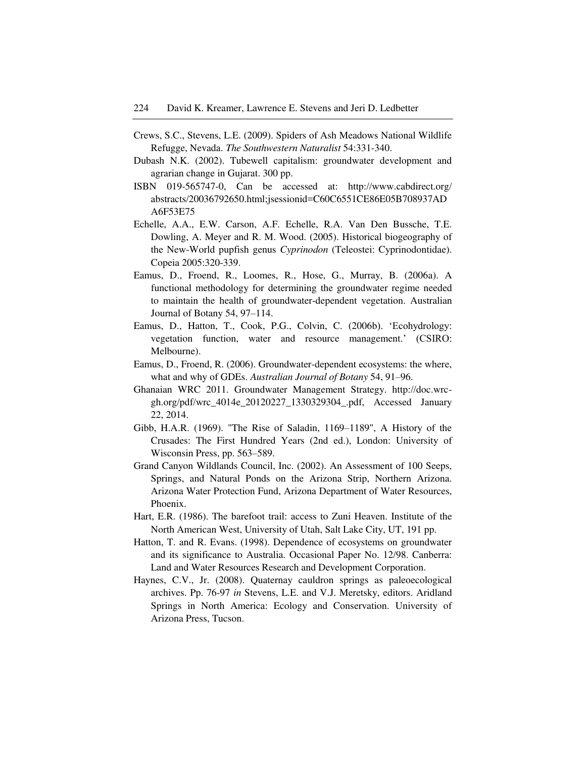- Crews, S.C., Stevens, L.E. (2009). Spiders of Ash Meadows National Wildlife Refugge, Nevada. *The Southwestern Naturalist* 54:331-340.
- Dubash N.K. (2002). Tubewell capitalism: groundwater development and agrarian change in Gujarat. 300 pp.
- ISBN 019-565747-0, Can be accessed at: http://www.cabdirect.org/ abstracts/20036792650.html;jsessionid=C60C6551CE86E05B708937AD A6F53E75
- Echelle, A.A., E.W. Carson, A.F. Echelle, R.A. Van Den Bussche, T.E. Dowling, A. Meyer and R. M. Wood. (2005). Historical biogeography of the New-World pupfish genus *Cyprinodon* (Teleostei: Cyprinodontidae). Copeia 2005:320-339.
- Eamus, D., Froend, R., Loomes, R., Hose, G., Murray, B. (2006a). A functional methodology for determining the groundwater regime needed to maintain the health of groundwater-dependent vegetation. Australian Journal of Botany 54, 97–114.
- Eamus, D., Hatton, T., Cook, P.G., Colvin, C. (2006b). "Ecohydrology: vegetation function, water and resource management." (CSIRO: Melbourne).
- Eamus, D., Froend, R. (2006). Groundwater-dependent ecosystems: the where, what and why of GDEs. *Australian Journal of Botany* 54, 91–96.
- Ghanaian WRC 2011. Groundwater Management Strategy. http://doc.wrcgh.org/pdf/wrc\_4014e\_20120227\_1330329304\_.pdf, Accessed January 22, 2014.
- Gibb, H.A.R. (1969). "The Rise of Saladin, 1169–1189", A History of the Crusades: The First Hundred Years (2nd ed.), London: University of Wisconsin Press, pp. 563–589.
- Grand Canyon Wildlands Council, Inc. (2002). An Assessment of 100 Seeps, Springs, and Natural Ponds on the Arizona Strip, Northern Arizona. Arizona Water Protection Fund, Arizona Department of Water Resources, Phoenix.
- Hart, E.R. (1986). The barefoot trail: access to Zuni Heaven. Institute of the North American West, University of Utah, Salt Lake City, UT, 191 pp.
- Hatton, T. and R. Evans. (1998). Dependence of ecosystems on groundwater and its significance to Australia. Occasional Paper No. 12/98. Canberra: Land and Water Resources Research and Development Corporation.
- Haynes, C.V., Jr. (2008). Quaternay cauldron springs as paleoecological archives. Pp. 76-97 *in* Stevens, L.E. and V.J. Meretsky, editors. Aridland Springs in North America: Ecology and Conservation. University of Arizona Press, Tucson.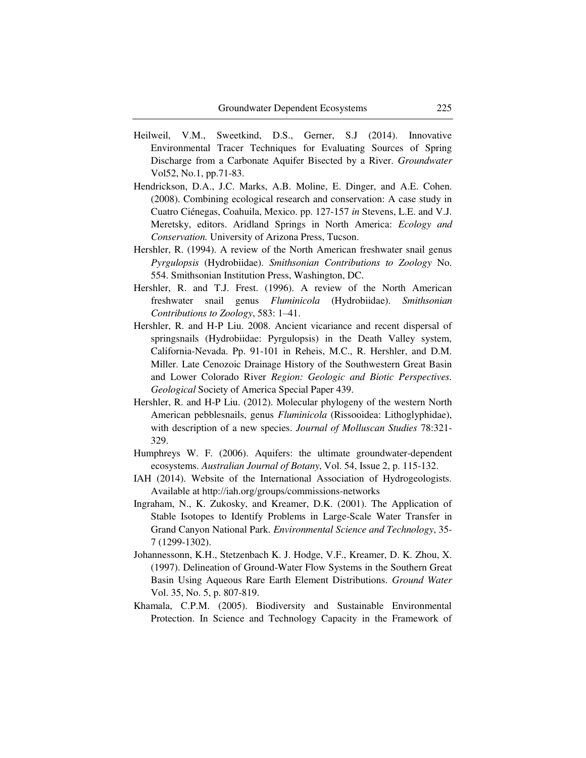- Heilweil, V.M., Sweetkind, D.S., Gerner, S.J (2014). Innovative Environmental Tracer Techniques for Evaluating Sources of Spring Discharge from a Carbonate Aquifer Bisected by a River. *Groundwater*  Vol52, No.1, pp.71-83.
- Hendrickson, D.A., J.C. Marks, A.B. Moline, E. Dinger, and A.E. Cohen. (2008). Combining ecological research and conservation: A case study in Cuatro Ciénegas, Coahuila, Mexico. pp. 127-157 *in* Stevens, L.E. and V.J. Meretsky, editors. Aridland Springs in North America: *Ecology and Conservation.* University of Arizona Press, Tucson.
- Hershler, R. (1994). A review of the North American freshwater snail genus *Pyrgulopsis* (Hydrobiidae). *Smithsonian Contributions to Zoology* No. 554. Smithsonian Institution Press, Washington, DC.
- Hershler, R. and T.J. Frest. (1996). A review of the North American freshwater snail genus *Fluminicola* (Hydrobiidae). *Smithsonian Contributions to Zoology*, 583: 1–41.
- Hershler, R. and H-P Liu. 2008. Ancient vicariance and recent dispersal of springsnails (Hydrobiidae: Pyrgulopsis) in the Death Valley system, California-Nevada. Pp. 91-101 in Reheis, M.C., R. Hershler, and D.M. Miller. Late Cenozoic Drainage History of the Southwestern Great Basin and Lower Colorado River *Region: Geologic and Biotic Perspectives. Geological* Society of America Special Paper 439.
- Hershler, R. and H-P Liu. (2012). Molecular phylogeny of the western North American pebblesnails, genus *Fluminicola* (Rissooidea: Lithoglyphidae), with description of a new species. *Journal of Molluscan Studies* 78:321- 329.
- Humphreys W. F. (2006). Aquifers: the ultimate groundwater-dependent ecosystems. *Australian Journal of Botany*, Vol. 54, Issue 2, p. 115-132.
- IAH (2014). Website of the International Association of Hydrogeologists. Available at http://iah.org/groups/commissions-networks
- Ingraham, N., K. Zukosky, and Kreamer, D.K. (2001). The Application of Stable Isotopes to Identify Problems in Large-Scale Water Transfer in Grand Canyon National Park. *Environmental Science and Technology*, 35- 7 (1299-1302).
- Johannessonn, K.H., Stetzenbach K. J. Hodge, V.F., Kreamer, D. K. Zhou, X. (1997). Delineation of Ground-Water Flow Systems in the Southern Great Basin Using Aqueous Rare Earth Element Distributions. *Ground Water* Vol. 35, No. 5, p. 807-819.
- Khamala, C.P.M. (2005). Biodiversity and Sustainable Environmental Protection. In Science and Technology Capacity in the Framework of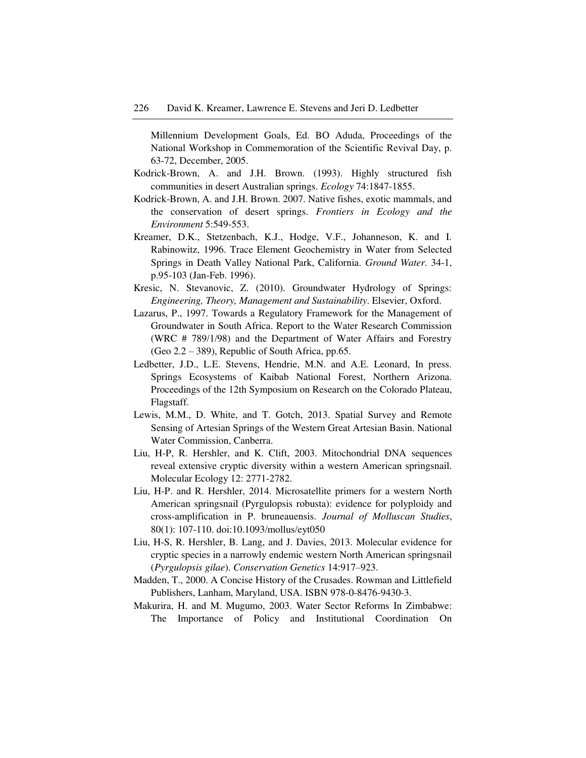Millennium Development Goals, Ed. BO Aduda, Proceedings of the National Workshop in Commemoration of the Scientific Revival Day, p. 63-72, December, 2005.

- Kodrick-Brown, A. and J.H. Brown. (1993). Highly structured fish communities in desert Australian springs. *Ecology* 74:1847-1855.
- Kodrick-Brown, A. and J.H. Brown. 2007. Native fishes, exotic mammals, and the conservation of desert springs. *Frontiers in Ecology and the Environment* 5:549-553.
- Kreamer, D.K., Stetzenbach, K.J., Hodge, V.F., Johanneson, K. and I. Rabinowitz, 1996. Trace Element Geochemistry in Water from Selected Springs in Death Valley National Park, California. *Ground Water.* 34-1, p.95-103 (Jan-Feb. 1996).
- Kresic, N. Stevanovic, Z. (2010). Groundwater Hydrology of Springs: *Engineering, Theory, Management and Sustainability*. Elsevier, Oxford.
- Lazarus, P., 1997. Towards a Regulatory Framework for the Management of Groundwater in South Africa. Report to the Water Research Commission (WRC # 789/1/98) and the Department of Water Affairs and Forestry (Geo 2.2 – 389), Republic of South Africa, pp.65.
- Ledbetter, J.D., L.E. Stevens, Hendrie, M.N. and A.E. Leonard, In press. Springs Ecosystems of Kaibab National Forest, Northern Arizona. Proceedings of the 12th Symposium on Research on the Colorado Plateau, Flagstaff.
- Lewis, M.M., D. White, and T. Gotch, 2013. Spatial Survey and Remote Sensing of Artesian Springs of the Western Great Artesian Basin. National Water Commission, Canberra.
- Liu, H-P, R. Hershler, and K. Clift, 2003. Mitochondrial DNA sequences reveal extensive cryptic diversity within a western American springsnail. Molecular Ecology 12: 2771-2782.
- Liu, H-P. and R. Hershler, 2014. Microsatellite primers for a western North American springsnail (Pyrgulopsis robusta): evidence for polyploidy and cross-amplification in P. bruneauensis. *Journal of Molluscan Studies*, 80(1): 107-110. doi:10.1093/mollus/eyt050
- Liu, H-S, R. Hershler, B. Lang, and J. Davies, 2013. Molecular evidence for cryptic species in a narrowly endemic western North American springsnail (*Pyrgulopsis gilae*). *Conservation Genetics* 14:917–923.
- Madden, T., 2000. A Concise History of the Crusades. Rowman and Littlefield Publishers, Lanham, Maryland, USA. ISBN 978-0-8476-9430-3.
- Makurira, H. and M. Mugumo, 2003. Water Sector Reforms In Zimbabwe: The Importance of Policy and Institutional Coordination On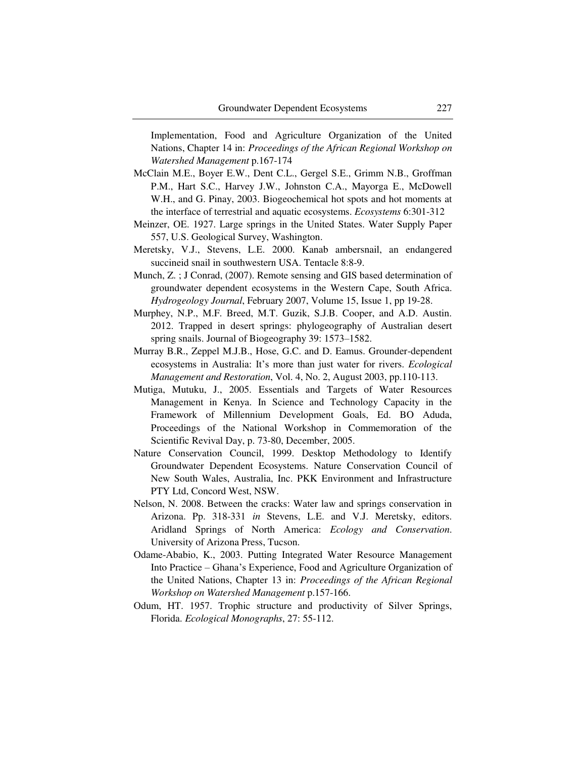Implementation, Food and Agriculture Organization of the United Nations, Chapter 14 in: *Proceedings of the African Regional Workshop on Watershed Management* p.167-174

- McClain M.E., Boyer E.W., Dent C.L., Gergel S.E., Grimm N.B., Groffman P.M., Hart S.C., Harvey J.W., Johnston C.A., Mayorga E., McDowell W.H., and G. Pinay, 2003. Biogeochemical hot spots and hot moments at the interface of terrestrial and aquatic ecosystems. *Ecosystems* 6:301-312
- Meinzer, OE. 1927. Large springs in the United States. Water Supply Paper 557, U.S. Geological Survey, Washington.
- Meretsky, V.J., Stevens, L.E. 2000. Kanab ambersnail, an endangered succineid snail in southwestern USA. Tentacle 8:8-9.
- Munch, Z. ; J Conrad, (2007). Remote sensing and GIS based determination of groundwater dependent ecosystems in the Western Cape, South Africa. *Hydrogeology Journal*, February 2007, Volume 15, Issue 1, pp 19-28.
- Murphey, N.P., M.F. Breed, M.T. Guzik, S.J.B. Cooper, and A.D. Austin. 2012. Trapped in desert springs: phylogeography of Australian desert spring snails. Journal of Biogeography 39: 1573–1582.
- Murray B.R., Zeppel M.J.B., Hose, G.C. and D. Eamus. Grounder-dependent ecosystems in Australia: It's more than just water for rivers. *Ecological Management and Restoration*, Vol. 4, No. 2, August 2003, pp.110-113.
- Mutiga, Mutuku, J., 2005. Essentials and Targets of Water Resources Management in Kenya. In Science and Technology Capacity in the Framework of Millennium Development Goals, Ed. BO Aduda, Proceedings of the National Workshop in Commemoration of the Scientific Revival Day, p. 73-80, December, 2005.
- Nature Conservation Council, 1999. Desktop Methodology to Identify Groundwater Dependent Ecosystems. Nature Conservation Council of New South Wales, Australia, Inc. PKK Environment and Infrastructure PTY Ltd, Concord West, NSW.
- Nelson, N. 2008. Between the cracks: Water law and springs conservation in Arizona. Pp. 318-331 *in* Stevens, L.E. and V.J. Meretsky, editors. Aridland Springs of North America: *Ecology and Conservation*. University of Arizona Press, Tucson.
- Odame-Ababio, K., 2003. Putting Integrated Water Resource Management Into Practice – Ghana"s Experience, Food and Agriculture Organization of the United Nations, Chapter 13 in: *Proceedings of the African Regional Workshop on Watershed Management* p.157-166.
- Odum, HT. 1957. Trophic structure and productivity of Silver Springs, Florida. *Ecological Monographs*, 27: 55-112.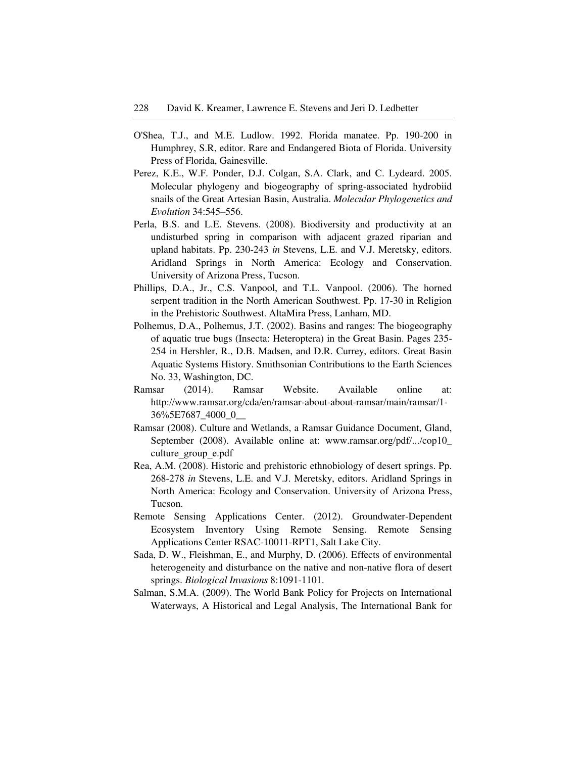- O'Shea, T.J., and M.E. Ludlow. 1992. Florida manatee. Pp. 190-200 in Humphrey, S.R, editor. Rare and Endangered Biota of Florida. University Press of Florida, Gainesville.
- Perez, K.E., W.F. Ponder, D.J. Colgan, S.A. Clark, and C. Lydeard. 2005. Molecular phylogeny and biogeography of spring-associated hydrobiid snails of the Great Artesian Basin, Australia. *Molecular Phylogenetics and Evolution* 34:545–556.
- Perla, B.S. and L.E. Stevens. (2008). Biodiversity and productivity at an undisturbed spring in comparison with adjacent grazed riparian and upland habitats. Pp. 230-243 *in* Stevens, L.E. and V.J. Meretsky, editors. Aridland Springs in North America: Ecology and Conservation. University of Arizona Press, Tucson.
- Phillips, D.A., Jr., C.S. Vanpool, and T.L. Vanpool. (2006). The horned serpent tradition in the North American Southwest. Pp. 17-30 in Religion in the Prehistoric Southwest. AltaMira Press, Lanham, MD.
- Polhemus, D.A., Polhemus, J.T. (2002). Basins and ranges: The biogeography of aquatic true bugs (Insecta: Heteroptera) in the Great Basin. Pages 235- 254 in Hershler, R., D.B. Madsen, and D.R. Currey, editors. Great Basin Aquatic Systems History. Smithsonian Contributions to the Earth Sciences No. 33, Washington, DC.
- Ramsar (2014). Ramsar Website. Available online at: http://www.ramsar.org/cda/en/ramsar-about-about-ramsar/main/ramsar/1- 36%5E7687\_4000\_0\_\_
- Ramsar (2008). Culture and Wetlands, a Ramsar Guidance Document, Gland, September (2008). Available online at: www.ramsar.org/pdf/.../cop10\_ culture group e.pdf
- Rea, A.M. (2008). Historic and prehistoric ethnobiology of desert springs. Pp. 268-278 *in* Stevens, L.E. and V.J. Meretsky, editors. Aridland Springs in North America: Ecology and Conservation. University of Arizona Press, Tucson.
- Remote Sensing Applications Center. (2012). Groundwater-Dependent Ecosystem Inventory Using Remote Sensing. Remote Sensing Applications Center RSAC-10011-RPT1, Salt Lake City.
- Sada, D. W., Fleishman, E., and Murphy, D. (2006). Effects of environmental heterogeneity and disturbance on the native and non-native flora of desert springs. *Biological Invasions* 8:1091-1101.
- Salman, S.M.A. (2009). The World Bank Policy for Projects on International Waterways, A Historical and Legal Analysis, The International Bank for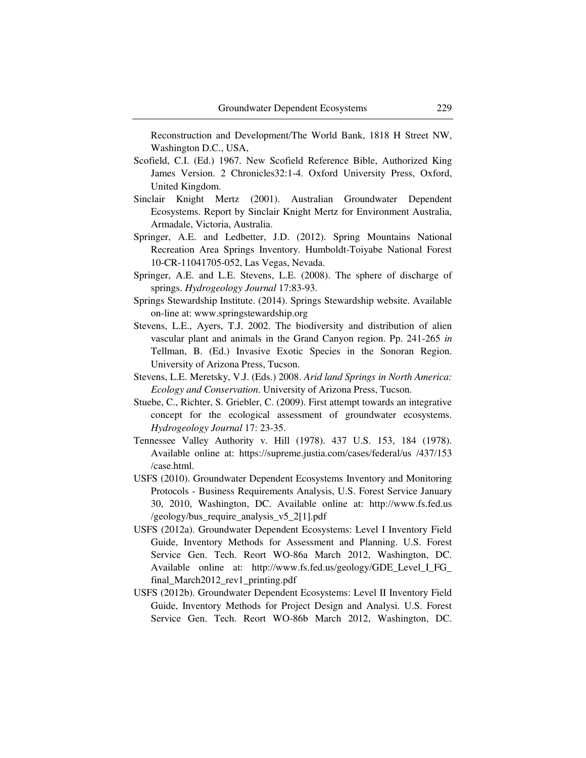Reconstruction and Development/The World Bank, 1818 H Street NW, Washington D.C., USA,

- Scofield, C.I. (Ed.) 1967. New Scofield Reference Bible, Authorized King James Version. 2 Chronicles32:1-4. Oxford University Press, Oxford, United Kingdom.
- Sinclair Knight Mertz (2001). Australian Groundwater Dependent Ecosystems. Report by Sinclair Knight Mertz for Environment Australia, Armadale, Victoria, Australia.
- Springer, A.E. and Ledbetter, J.D. (2012). Spring Mountains National Recreation Area Springs Inventory. Humboldt-Toiyabe National Forest 10-CR-11041705-052, Las Vegas, Nevada.
- Springer, A.E. and L.E. Stevens, L.E. (2008). The sphere of discharge of springs. *Hydrogeology Journal* 17:83-93.
- Springs Stewardship Institute. (2014). Springs Stewardship website. Available on-line at: www.springstewardship.org
- Stevens, L.E., Ayers, T.J. 2002. The biodiversity and distribution of alien vascular plant and animals in the Grand Canyon region. Pp. 241-265 *in* Tellman, B. (Ed.) Invasive Exotic Species in the Sonoran Region. University of Arizona Press, Tucson.
- Stevens, L.E. Meretsky, V.J. (Eds.) 2008. *Arid land Springs in North America: Ecology and Conservation*. University of Arizona Press, Tucson.
- Stuebe, C., Richter, S. Griebler, C. (2009). First attempt towards an integrative concept for the ecological assessment of groundwater ecosystems. *Hydrogeology Journal* 17: 23-35.
- Tennessee Valley Authority v. Hill (1978). 437 U.S. 153, 184 (1978). Available online at: https://supreme.justia.com/cases/federal/us /437/153 /case.html.
- USFS (2010). Groundwater Dependent Ecosystems Inventory and Monitoring Protocols - Business Requirements Analysis, U.S. Forest Service January 30, 2010, Washington, DC. Available online at: http://www.fs.fed.us /geology/bus\_require\_analysis\_v5\_2[1].pdf
- USFS (2012a). Groundwater Dependent Ecosystems: Level I Inventory Field Guide, Inventory Methods for Assessment and Planning. U.S. Forest Service Gen. Tech. Reort WO-86a March 2012, Washington, DC. Available online at: http://www.fs.fed.us/geology/GDE\_Level\_I\_FG\_ final\_March2012\_rev1\_printing.pdf
- USFS (2012b). Groundwater Dependent Ecosystems: Level II Inventory Field Guide, Inventory Methods for Project Design and Analysi. U.S. Forest Service Gen. Tech. Reort WO-86b March 2012, Washington, DC.